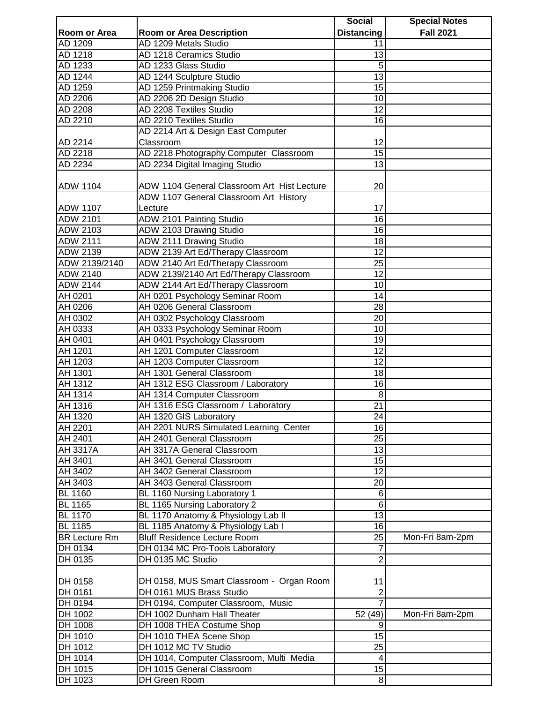|                      |                                             | <b>Social</b>     | <b>Special Notes</b> |
|----------------------|---------------------------------------------|-------------------|----------------------|
| Room or Area         | <b>Room or Area Description</b>             | <b>Distancing</b> | <b>Fall 2021</b>     |
| AD 1209              | AD 1209 Metals Studio                       | 11                |                      |
| AD 1218              | AD 1218 Ceramics Studio                     | $\overline{13}$   |                      |
| AD 1233              | AD 1233 Glass Studio                        | 5                 |                      |
| AD 1244              | AD 1244 Sculpture Studio                    | $\overline{13}$   |                      |
| AD 1259              | AD 1259 Printmaking Studio                  | 15                |                      |
| AD 2206              | AD 2206 2D Design Studio                    | 10                |                      |
| AD 2208              | AD 2208 Textiles Studio                     | 12                |                      |
| AD 2210              | AD 2210 Textiles Studio                     | 16                |                      |
|                      | AD 2214 Art & Design East Computer          |                   |                      |
| AD 2214              | Classroom                                   | 12                |                      |
| AD 2218              | AD 2218 Photography Computer Classroom      | $\overline{15}$   |                      |
| AD 2234              | AD 2234 Digital Imaging Studio              | 13                |                      |
|                      |                                             |                   |                      |
| <b>ADW 1104</b>      | ADW 1104 General Classroom Art Hist Lecture | 20                |                      |
|                      | ADW 1107 General Classroom Art History      |                   |                      |
| <b>ADW 1107</b>      | Lecture                                     | 17                |                      |
| <b>ADW 2101</b>      |                                             | 16                |                      |
|                      | ADW 2101 Painting Studio                    |                   |                      |
| ADW 2103             | ADW 2103 Drawing Studio                     | 16                |                      |
| <b>ADW 2111</b>      | ADW 2111 Drawing Studio                     | 18                |                      |
| <b>ADW 2139</b>      | ADW 2139 Art Ed/Therapy Classroom           | 12                |                      |
| ADW 2139/2140        | ADW 2140 Art Ed/Therapy Classroom           | 25                |                      |
| <b>ADW 2140</b>      | ADW 2139/2140 Art Ed/Therapy Classroom      | 12                |                      |
| <b>ADW 2144</b>      | ADW 2144 Art Ed/Therapy Classroom           | 10                |                      |
| AH 0201              | AH 0201 Psychology Seminar Room             | 14                |                      |
| AH 0206              | AH 0206 General Classroom                   | 28                |                      |
| AH 0302              | AH 0302 Psychology Classroom                | 20                |                      |
| AH 0333              | AH 0333 Psychology Seminar Room             | 10                |                      |
| AH 0401              | AH 0401 Psychology Classroom                | 19                |                      |
| AH 1201              | AH 1201 Computer Classroom                  | 12                |                      |
| AH 1203              | AH 1203 Computer Classroom                  | $\overline{12}$   |                      |
| AH 1301              | AH 1301 General Classroom                   | 18                |                      |
| AH 1312              | AH 1312 ESG Classroom / Laboratory          | 16                |                      |
| AH 1314              | AH 1314 Computer Classroom                  | 8                 |                      |
| AH 1316              | AH 1316 ESG Classroom / Laboratory          | $\overline{21}$   |                      |
| AH 1320              | AH 1320 GIS Laboratory                      | 24                |                      |
| AH 2201              | AH 2201 NURS Simulated Learning Center      | 16                |                      |
| AH 2401              | AH 2401 General Classroom                   | 25                |                      |
| AH 3317A             | AH 3317A General Classroom                  | 13                |                      |
| AH 3401              | AH 3401 General Classroom                   | 15                |                      |
| AH 3402              | AH 3402 General Classroom                   | 12                |                      |
| AH 3403              | AH 3403 General Classroom                   | 20                |                      |
| <b>BL 1160</b>       | BL 1160 Nursing Laboratory 1                | 6                 |                      |
| <b>BL 1165</b>       | BL 1165 Nursing Laboratory 2                | $6\phantom{1}6$   |                      |
| <b>BL 1170</b>       | BL 1170 Anatomy & Physiology Lab II         | $\overline{13}$   |                      |
| <b>BL 1185</b>       | BL 1185 Anatomy & Physiology Lab I          | 16                |                      |
| <b>BR Lecture Rm</b> | <b>Bluff Residence Lecture Room</b>         | 25                | Mon-Fri 8am-2pm      |
| DH 0134              | DH 0134 MC Pro-Tools Laboratory             |                   |                      |
| DH 0135              | DH 0135 MC Studio                           | $\overline{c}$    |                      |
|                      |                                             |                   |                      |
|                      |                                             |                   |                      |
| DH 0158              | DH 0158, MUS Smart Classroom - Organ Room   | 11                |                      |
| DH 0161              | DH 0161 MUS Brass Studio                    | $\overline{2}$    |                      |
| DH 0194              | DH 0194, Computer Classroom, Music          |                   |                      |
| DH 1002              | DH 1002 Dunham Hall Theater                 | 52 (49)           | Mon-Fri 8am-2pm      |
| DH 1008              | DH 1008 THEA Costume Shop                   | 9                 |                      |
| DH 1010              | DH 1010 THEA Scene Shop                     | 15                |                      |
| DH 1012              | DH 1012 MC TV Studio                        | 25                |                      |
| DH 1014              | DH 1014, Computer Classroom, Multi Media    | 4                 |                      |
| DH 1015              | DH 1015 General Classroom                   | 15                |                      |
| DH 1023              | DH Green Room                               | 8 <sup>1</sup>    |                      |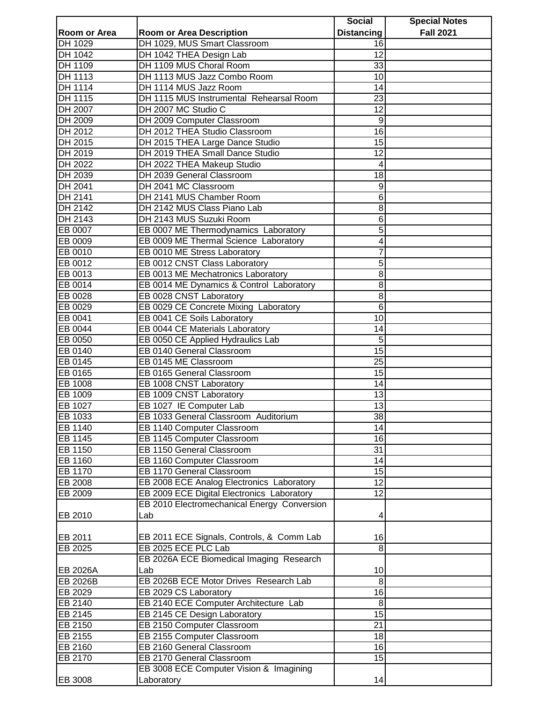|                    |                                                                  | <b>Social</b>     | <b>Special Notes</b> |
|--------------------|------------------------------------------------------------------|-------------------|----------------------|
| Room or Area       | <b>Room or Area Description</b>                                  | <b>Distancing</b> | <b>Fall 2021</b>     |
| DH 1029            | DH 1029, MUS Smart Classroom                                     | 16                |                      |
| DH 1042            | DH 1042 THEA Design Lab                                          | 12                |                      |
| DH 1109            | DH 1109 MUS Choral Room                                          | 33                |                      |
| DH 1113            | DH 1113 MUS Jazz Combo Room                                      | 10                |                      |
| <b>DH 1114</b>     | DH 1114 MUS Jazz Room                                            | 14                |                      |
| <b>DH 1115</b>     | DH 1115 MUS Instrumental Rehearsal Room                          | 23                |                      |
| DH 2007            | DH 2007 MC Studio C                                              | 12                |                      |
| DH 2009            | DH 2009 Computer Classroom                                       | 9                 |                      |
| DH 2012            | DH 2012 THEA Studio Classroom                                    | 16                |                      |
| DH 2015            | DH 2015 THEA Large Dance Studio                                  | 15                |                      |
| DH 2019            | DH 2019 THEA Small Dance Studio                                  | 12                |                      |
| DH 2022            | DH 2022 THEA Makeup Studio                                       | 4                 |                      |
| DH 2039            | DH 2039 General Classroom                                        | 18                |                      |
| DH 2041            | DH 2041 MC Classroom                                             | 9                 |                      |
| DH 2141            | DH 2141 MUS Chamber Room                                         | 6                 |                      |
| DH 2142            | DH 2142 MUS Class Piano Lab                                      | 8                 |                      |
| DH 2143            | DH 2143 MUS Suzuki Room                                          | 6                 |                      |
| EB 0007            | EB 0007 ME Thermodynamics Laboratory                             | 5                 |                      |
| EB 0009            | EB 0009 ME Thermal Science Laboratory                            | 4                 |                      |
| EB 0010            | EB 0010 ME Stress Laboratory                                     | 7                 |                      |
| EB 0012            | EB 0012 CNST Class Laboratory                                    | 5                 |                      |
| EB 0013            | EB 0013 ME Mechatronics Laboratory                               | 8                 |                      |
| EB 0014            | EB 0014 ME Dynamics & Control Laboratory                         | 8                 |                      |
|                    |                                                                  |                   |                      |
| EB 0028<br>EB 0029 | EB 0028 CNST Laboratory<br>EB 0029 CE Concrete Mixing Laboratory | 8<br>6            |                      |
|                    |                                                                  | 10                |                      |
| EB 0041            | EB 0041 CE Soils Laboratory                                      |                   |                      |
| EB 0044            | EB 0044 CE Materials Laboratory                                  | 14                |                      |
| EB 0050            | EB 0050 CE Applied Hydraulics Lab                                | 5<br>15           |                      |
| EB 0140            | EB 0140 General Classroom                                        |                   |                      |
| EB 0145            | EB 0145 ME Classroom                                             | $\overline{25}$   |                      |
| EB 0165            | EB 0165 General Classroom                                        | 15                |                      |
| EB 1008            | EB 1008 CNST Laboratory                                          | 14                |                      |
| EB 1009            | EB 1009 CNST Laboratory                                          | 13                |                      |
| EB 1027            | EB 1027 IE Computer Lab                                          | $\overline{13}$   |                      |
| EB 1033            | EB 1033 General Classroom Auditorium                             | 38                |                      |
| EB 1140            | EB 1140 Computer Classroom                                       | 14                |                      |
| EB 1145            | EB 1145 Computer Classroom                                       | 16                |                      |
| EB 1150            | EB 1150 General Classroom                                        | 31                |                      |
| EB 1160            | EB 1160 Computer Classroom                                       | 14                |                      |
| EB 1170            | EB 1170 General Classroom                                        | 15                |                      |
| EB 2008            | EB 2008 ECE Analog Electronics Laboratory                        | 12                |                      |
| EB 2009            | EB 2009 ECE Digital Electronics Laboratory                       | 12                |                      |
|                    | EB 2010 Electromechanical Energy Conversion                      |                   |                      |
| EB 2010            | Lab                                                              | 4                 |                      |
|                    |                                                                  |                   |                      |
| EB 2011            | EB 2011 ECE Signals, Controls, & Comm Lab                        | 16                |                      |
| EB 2025            | EB 2025 ECE PLC Lab                                              | 8                 |                      |
|                    | EB 2026A ECE Biomedical Imaging Research                         |                   |                      |
| EB 2026A           | Lab                                                              | 10                |                      |
| EB 2026B           | EB 2026B ECE Motor Drives Research Lab                           | 8                 |                      |
| EB 2029            | EB 2029 CS Laboratory                                            | 16                |                      |
| EB 2140            | EB 2140 ECE Computer Architecture Lab                            | 8                 |                      |
| EB 2145            | EB 2145 CE Design Laboratory                                     | 15                |                      |
| EB 2150            | EB 2150 Computer Classroom                                       | 21                |                      |
| EB 2155            | EB 2155 Computer Classroom                                       | 18                |                      |
| EB 2160            | EB 2160 General Classroom                                        | 16                |                      |
| EB 2170            | EB 2170 General Classroom                                        | 15                |                      |
|                    | EB 3008 ECE Computer Vision & Imagining                          |                   |                      |
| EB 3008            | Laboratory                                                       | 14                |                      |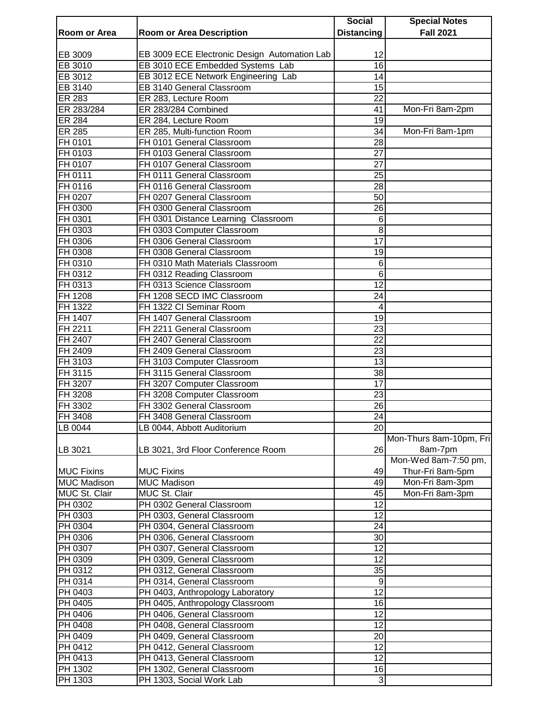|                            |                                              | <b>Social</b>     | <b>Special Notes</b>    |
|----------------------------|----------------------------------------------|-------------------|-------------------------|
| Room or Area               | <b>Room or Area Description</b>              | <b>Distancing</b> | <b>Fall 2021</b>        |
|                            |                                              |                   |                         |
| EB 3009                    | EB 3009 ECE Electronic Design Automation Lab | 12                |                         |
| EB 3010                    | EB 3010 ECE Embedded Systems Lab             | 16                |                         |
| EB 3012                    | EB 3012 ECE Network Engineering Lab          | 14                |                         |
| EB 3140                    | EB 3140 General Classroom                    | 15                |                         |
| ER 283                     | ER 283, Lecture Room                         | 22                |                         |
| ER 283/284                 | ER 283/284 Combined                          | 41                | Mon-Fri 8am-2pm         |
| $\overline{\text{ER}}$ 284 | ER 284, Lecture Room                         | 19                |                         |
| <b>ER 285</b>              | ER 285, Multi-function Room                  | 34                | Mon-Fri 8am-1pm         |
| FH 0101                    | FH 0101 General Classroom                    | 28                |                         |
| FH 0103                    | FH 0103 General Classroom                    | 27                |                         |
| FH 0107                    | FH 0107 General Classroom                    | 27                |                         |
| FH 0111                    | FH 0111 General Classroom                    | 25                |                         |
| FH 0116                    | FH 0116 General Classroom                    | 28                |                         |
| FH 0207                    | FH 0207 General Classroom                    | 50                |                         |
| FH 0300                    | FH 0300 General Classroom                    | 26                |                         |
| FH 0301                    | FH 0301 Distance Learning Classroom          | 6                 |                         |
| FH 0303                    | FH 0303 Computer Classroom                   | 8                 |                         |
| FH 0306                    | FH 0306 General Classroom                    | 17                |                         |
| FH 0308                    | FH 0308 General Classroom                    | 19                |                         |
| FH 0310                    | FH 0310 Math Materials Classroom             | 6                 |                         |
| FH 0312                    | FH 0312 Reading Classroom                    | 6                 |                         |
| FH 0313                    | FH 0313 Science Classroom                    | 12                |                         |
| FH 1208                    | FH 1208 SECD IMC Classroom                   | 24                |                         |
| FH 1322                    | FH 1322 CI Seminar Room                      | 4                 |                         |
| FH 1407                    | FH 1407 General Classroom                    | 19                |                         |
| FH 2211                    | FH 2211 General Classroom                    | $\overline{23}$   |                         |
| FH 2407                    | FH 2407 General Classroom                    | 22                |                         |
| FH 2409                    | FH 2409 General Classroom                    | $\overline{23}$   |                         |
| FH 3103                    | FH 3103 Computer Classroom                   | 13                |                         |
| FH 3115                    | FH 3115 General Classroom                    | $\overline{38}$   |                         |
| FH 3207                    | FH 3207 Computer Classroom                   | 17                |                         |
| FH 3208                    | FH 3208 Computer Classroom                   | 23                |                         |
| FH 3302                    | FH 3302 General Classroom                    | 26                |                         |
| <b>FH 3408</b>             | FH 3408 General Classroom                    | 24                |                         |
| LB 0044                    | LB 0044, Abbott Auditorium                   | $\overline{20}$   |                         |
|                            |                                              |                   | Mon-Thurs 8am-10pm, Fri |
| LB 3021                    | LB 3021, 3rd Floor Conference Room           | 26                | 8am-7pm                 |
|                            |                                              |                   | Mon-Wed 8am-7:50 pm,    |
| <b>MUC Fixins</b>          | <b>MUC Fixins</b>                            | 49                | Thur-Fri 8am-5pm        |
| <b>MUC Madison</b>         | <b>MUC Madison</b>                           | 49                | Mon-Fri 8am-3pm         |
| MUC St. Clair              | MUC St. Clair                                | 45                | Mon-Fri 8am-3pm         |
| PH 0302                    | PH 0302 General Classroom                    | 12                |                         |
| PH 0303                    | PH 0303, General Classroom                   | $\overline{12}$   |                         |
| PH 0304                    | PH 0304, General Classroom                   | 24                |                         |
| PH 0306                    | PH 0306, General Classroom                   | 30                |                         |
| PH 0307                    | PH 0307, General Classroom                   | $\overline{12}$   |                         |
| PH 0309                    | PH 0309, General Classroom                   | $\overline{12}$   |                         |
| PH 0312                    | PH 0312, General Classroom                   | 35                |                         |
| PH 0314                    | PH 0314, General Classroom                   | 9                 |                         |
| PH 0403                    |                                              | $\overline{12}$   |                         |
|                            | PH 0403, Anthropology Laboratory             | 16                |                         |
| PH 0405                    | PH 0405, Anthropology Classroom              |                   |                         |
| PH 0406                    | PH 0406, General Classroom                   | 12                |                         |
| PH 0408                    | PH 0408, General Classroom                   | 12                |                         |
| PH 0409                    | PH 0409, General Classroom                   | 20                |                         |
| <b>PH 0412</b>             | PH 0412, General Classroom                   | 12                |                         |
| PH 0413                    | PH 0413, General Classroom                   | 12                |                         |
| PH 1302                    | PH 1302, General Classroom                   | 16                |                         |
| <b>PH 1303</b>             | PH 1303, Social Work Lab                     | $\sqrt{3}$        |                         |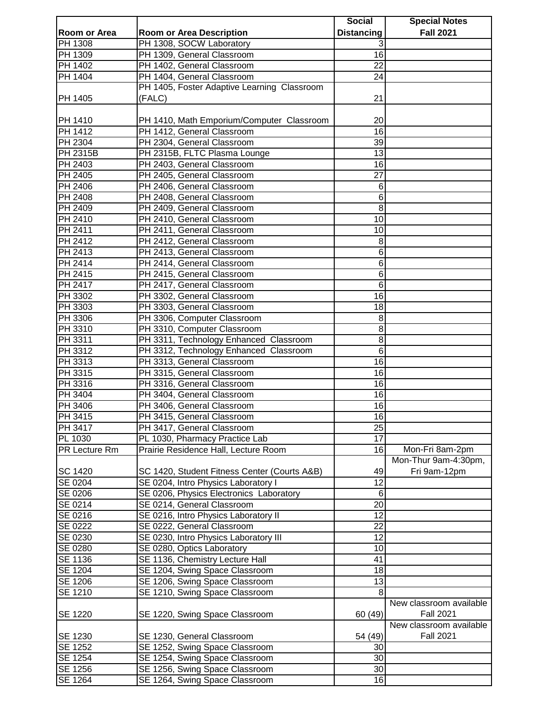|                |                                              | <b>Social</b>     | <b>Special Notes</b>    |
|----------------|----------------------------------------------|-------------------|-------------------------|
| Room or Area   | <b>Room or Area Description</b>              | <b>Distancing</b> | <b>Fall 2021</b>        |
| PH 1308        | PH 1308, SOCW Laboratory                     | 3                 |                         |
| PH 1309        | PH 1309, General Classroom                   | $\overline{16}$   |                         |
| PH 1402        | PH 1402, General Classroom                   | $\overline{22}$   |                         |
| PH 1404        | PH 1404, General Classroom                   | 24                |                         |
|                | PH 1405, Foster Adaptive Learning Classroom  |                   |                         |
| PH 1405        | (FALC)                                       | 21                |                         |
|                |                                              |                   |                         |
| PH 1410        | PH 1410, Math Emporium/Computer Classroom    | 20                |                         |
| PH 1412        | PH 1412, General Classroom                   | 16                |                         |
| PH 2304        | PH 2304, General Classroom                   | 39                |                         |
| PH 2315B       | PH 2315B, FLTC Plasma Lounge                 | 13                |                         |
| PH 2403        | PH 2403, General Classroom                   | 16                |                         |
| PH 2405        | PH 2405, General Classroom                   | 27                |                         |
| PH 2406        | PH 2406, General Classroom                   | 6                 |                         |
| PH 2408        | PH 2408, General Classroom                   | 6                 |                         |
| PH 2409        | PH 2409, General Classroom                   | 8                 |                         |
| PH 2410        | PH 2410, General Classroom                   | 10                |                         |
|                |                                              |                   |                         |
| PH 2411        | PH 2411, General Classroom                   | 10                |                         |
| PH 2412        | PH 2412, General Classroom                   | 8                 |                         |
| PH 2413        | PH 2413, General Classroom                   | 6                 |                         |
| PH 2414        | PH 2414, General Classroom                   | 6                 |                         |
| PH 2415        | PH 2415, General Classroom                   | 6                 |                         |
| PH 2417        | PH 2417, General Classroom                   | 6                 |                         |
| PH 3302        | PH 3302, General Classroom                   | 16                |                         |
| PH 3303        | PH 3303, General Classroom                   | 18                |                         |
| PH 3306        | PH 3306, Computer Classroom                  | 8                 |                         |
| PH 3310        | PH 3310, Computer Classroom                  | 8                 |                         |
| PH 3311        | PH 3311, Technology Enhanced Classroom       | 8                 |                         |
| PH 3312        | PH 3312, Technology Enhanced Classroom       | 6                 |                         |
| <b>PH 3313</b> | PH 3313, General Classroom                   | 16                |                         |
| PH 3315        | PH 3315, General Classroom                   | 16                |                         |
| PH 3316        | PH 3316, General Classroom                   | 16                |                         |
| PH 3404        | PH 3404, General Classroom                   | 16                |                         |
| PH 3406        | PH 3406, General Classroom                   | 16                |                         |
| PH 3415        | PH 3415, General Classroom                   | 16                |                         |
| PH 3417        | PH 3417, General Classroom                   | 25                |                         |
| PL 1030        | PL 1030, Pharmacy Practice Lab               | 17                |                         |
| PR Lecture Rm  | Prairie Residence Hall, Lecture Room         | 16                | Mon-Fri 8am-2pm         |
|                |                                              |                   | Mon-Thur 9am-4:30pm,    |
| SC 1420        | SC 1420, Student Fitness Center (Courts A&B) | 49                | Fri 9am-12pm            |
| SE 0204        | SE 0204, Intro Physics Laboratory I          | 12                |                         |
| SE 0206        | SE 0206, Physics Electronics Laboratory      | 6                 |                         |
| SE 0214        | SE 0214, General Classroom                   | 20                |                         |
| SE 0216        | SE 0216, Intro Physics Laboratory II         | 12                |                         |
| SE 0222        | SE 0222, General Classroom                   | 22                |                         |
| SE 0230        | SE 0230, Intro Physics Laboratory III        | 12                |                         |
| SE 0280        | SE 0280, Optics Laboratory                   | 10                |                         |
| SE 1136        | SE 1136, Chemistry Lecture Hall              | 41                |                         |
| SE 1204        | SE 1204, Swing Space Classroom               | 18                |                         |
| SE 1206        | SE 1206, Swing Space Classroom               | 13                |                         |
| SE 1210        | SE 1210, Swing Space Classroom               | 8                 |                         |
|                |                                              |                   | New classroom available |
|                |                                              |                   | <b>Fall 2021</b>        |
| SE 1220        | SE 1220, Swing Space Classroom               | 60 (49)           |                         |
|                |                                              |                   | New classroom available |
| SE 1230        | SE 1230, General Classroom                   | 54 (49)           | <b>Fall 2021</b>        |
| SE 1252        | SE 1252, Swing Space Classroom               | 30                |                         |
| SE 1254        | SE 1254, Swing Space Classroom               | 30                |                         |
| SE 1256        | SE 1256, Swing Space Classroom               | 30                |                         |
| SE 1264        | SE 1264, Swing Space Classroom               | 16                |                         |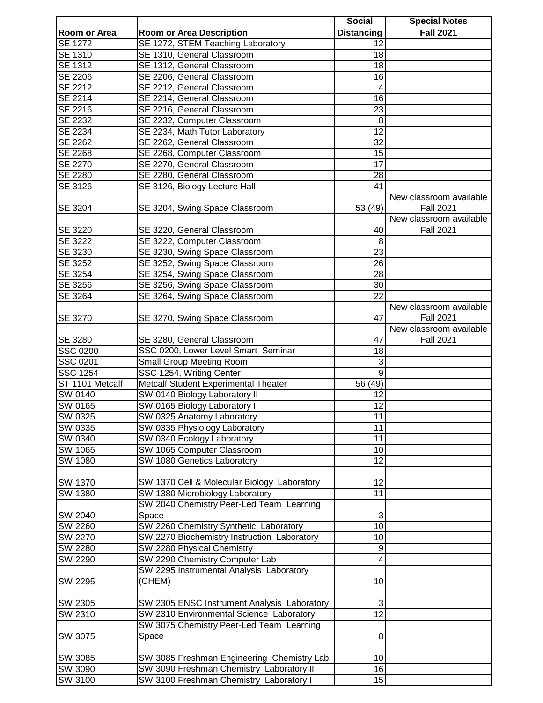|                 |                                                    | <b>Social</b>     | <b>Special Notes</b>                        |
|-----------------|----------------------------------------------------|-------------------|---------------------------------------------|
| Room or Area    | <b>Room or Area Description</b>                    | <b>Distancing</b> | <b>Fall 2021</b>                            |
| <b>SE 1272</b>  | SE 1272, STEM Teaching Laboratory                  | 12                |                                             |
| SE 1310         | SE 1310, General Classroom                         | 18                |                                             |
| <b>SE 1312</b>  | SE 1312, General Classroom                         | 18                |                                             |
| <b>SE 2206</b>  | SE 2206, General Classroom                         | 16                |                                             |
| <b>SE 2212</b>  | SE 2212, General Classroom                         | 4                 |                                             |
| SE 2214         | SE 2214, General Classroom                         | 16                |                                             |
| SE 2216         | SE 2216, General Classroom                         | 23                |                                             |
| SE 2232         | SE 2232, Computer Classroom                        | 8                 |                                             |
| SE 2234         | SE 2234, Math Tutor Laboratory                     | 12                |                                             |
| SE 2262         | SE 2262, General Classroom                         | 32                |                                             |
| SE 2268         | SE 2268, Computer Classroom                        | 15                |                                             |
| SE 2270         | SE 2270, General Classroom                         | 17                |                                             |
| SE 2280         | SE 2280, General Classroom                         | 28                |                                             |
|                 |                                                    |                   |                                             |
| SE 3126         | SE 3126, Biology Lecture Hall                      | 41                |                                             |
| SE 3204         | SE 3204, Swing Space Classroom                     | 53 (49)           | New classroom available<br><b>Fall 2021</b> |
|                 |                                                    |                   | New classroom available                     |
| SE 3220         | SE 3220, General Classroom                         | 40                | <b>Fall 2021</b>                            |
| <b>SE 3222</b>  | SE 3222, Computer Classroom                        | 8                 |                                             |
| SE 3230         | SE 3230, Swing Space Classroom                     | 23                |                                             |
| SE 3252         | SE 3252, Swing Space Classroom                     | 26                |                                             |
| SE 3254         | SE 3254, Swing Space Classroom                     | 28                |                                             |
| SE 3256         | SE 3256, Swing Space Classroom                     | 30                |                                             |
| SE 3264         | SE 3264, Swing Space Classroom                     | 22                |                                             |
| SE 3270         | SE 3270, Swing Space Classroom                     | 47                | New classroom available<br><b>Fall 2021</b> |
| SE 3280         | SE 3280, General Classroom                         | 47                | New classroom available<br><b>Fall 2021</b> |
| <b>SSC 0200</b> | SSC 0200, Lower Level Smart Seminar                | 18                |                                             |
| SSC 0201        | <b>Small Group Meeting Room</b>                    | 3                 |                                             |
| <b>SSC 1254</b> | SSC 1254, Writing Center                           | 9                 |                                             |
| ST 1101 Metcalf | Metcalf Student Experimental Theater               | 56 (49)           |                                             |
| SW 0140         | SW 0140 Biology Laboratory II                      | 12                |                                             |
| SW 0165         | SW 0165 Biology Laboratory I                       | 12                |                                             |
| SW 0325         | SW 0325 Anatomy Laboratory                         | 11                |                                             |
| SW 0335         | SW 0335 Physiology Laboratory                      | 11                |                                             |
| SW 0340         | SW 0340 Ecology Laboratory                         | 11                |                                             |
| SW 1065         | SW 1065 Computer Classroom                         | 10                |                                             |
| SW 1080         | SW 1080 Genetics Laboratory                        | 12                |                                             |
|                 |                                                    |                   |                                             |
| SW 1370         | SW 1370 Cell & Molecular Biology Laboratory        | 12                |                                             |
| SW 1380         | SW 1380 Microbiology Laboratory                    | 11                |                                             |
|                 | SW 2040 Chemistry Peer-Led Team Learning           |                   |                                             |
| SW 2040         | Space                                              | 3                 |                                             |
| SW 2260         | SW 2260 Chemistry Synthetic Laboratory             | 10                |                                             |
| SW 2270         | SW 2270 Biochemistry Instruction Laboratory        | 10                |                                             |
| <b>SW 2280</b>  | SW 2280 Physical Chemistry                         |                   |                                             |
| SW 2290         | SW 2290 Chemistry Computer Lab                     | 9<br>4            |                                             |
|                 |                                                    |                   |                                             |
| SW 2295         | SW 2295 Instrumental Analysis Laboratory<br>(CHEM) | 10                |                                             |
| SW 2305         | SW 2305 ENSC Instrument Analysis Laboratory        | 3                 |                                             |
| SW 2310         | SW 2310 Environmental Science Laboratory           | $\overline{12}$   |                                             |
|                 | SW 3075 Chemistry Peer-Led Team Learning           |                   |                                             |
| SW 3075         | Space                                              | 8                 |                                             |
|                 |                                                    |                   |                                             |
| SW 3085         | SW 3085 Freshman Engineering Chemistry Lab         | 10                |                                             |
| SW 3090         | SW 3090 Freshman Chemistry Laboratory II           | 16                |                                             |
| SW 3100         | SW 3100 Freshman Chemistry Laboratory I            | 15                |                                             |